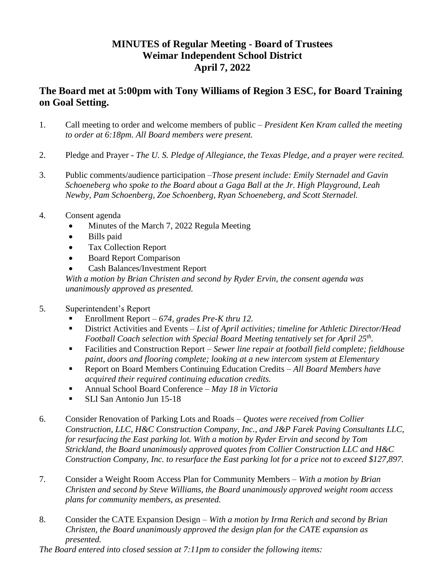## **MINUTES of Regular Meeting - Board of Trustees Weimar Independent School District April 7, 2022**

## **The Board met at 5:00pm with Tony Williams of Region 3 ESC, for Board Training on Goal Setting.**

- 1. Call meeting to order and welcome members of public *President Ken Kram called the meeting to order at 6:18pm. All Board members were present.*
- 2. Pledge and Prayer *The U. S. Pledge of Allegiance, the Texas Pledge, and a prayer were recited.*
- 3. Public comments/audience participation –*Those present include: Emily Sternadel and Gavin Schoeneberg who spoke to the Board about a Gaga Ball at the Jr. High Playground, Leah Newby, Pam Schoenberg, Zoe Schoenberg, Ryan Schoeneberg, and Scott Sternadel.*
- 4. Consent agenda
	- Minutes of the March 7, 2022 Regula Meeting
	- Bills paid
	- Tax Collection Report
	- Board Report Comparison
	- Cash Balances/Investment Report

*With a motion by Brian Christen and second by Ryder Ervin, the consent agenda was unanimously approved as presented.*

- 5. Superintendent's Report
	- Enrollment Report *– 674, grades Pre-K thru 12.*
	- District Activities and Events *List of April activities; timeline for Athletic Director/Head Football Coach selection with Special Board Meeting tentatively set for April 25th .*
	- Facilities and Construction Report *Sewer line repair at football field complete; fieldhouse paint, doors and flooring complete; looking at a new intercom system at Elementary*
	- Report on Board Members Continuing Education Credits *All Board Members have acquired their required continuing education credits.*
	- Annual School Board Conference *May 18 in Victoria*
	- **SLI San Antonio Jun 15-18**
- 6. Consider Renovation of Parking Lots and Roads *Quotes were received from Collier Construction, LLC, H&C Construction Company, Inc., and J&P Farek Paving Consultants LLC, for resurfacing the East parking lot. With a motion by Ryder Ervin and second by Tom Strickland, the Board unanimously approved quotes from Collier Construction LLC and H&C Construction Company, Inc. to resurface the East parking lot for a price not to exceed \$127,897.*
- 7. Consider a Weight Room Access Plan for Community Members *With a motion by Brian Christen and second by Steve Williams, the Board unanimously approved weight room access plans for community members, as presented.*
- 8. Consider the CATE Expansion Design *With a motion by Irma Rerich and second by Brian Christen, the Board unanimously approved the design plan for the CATE expansion as presented.*

*The Board entered into closed session at 7:11pm to consider the following items:*